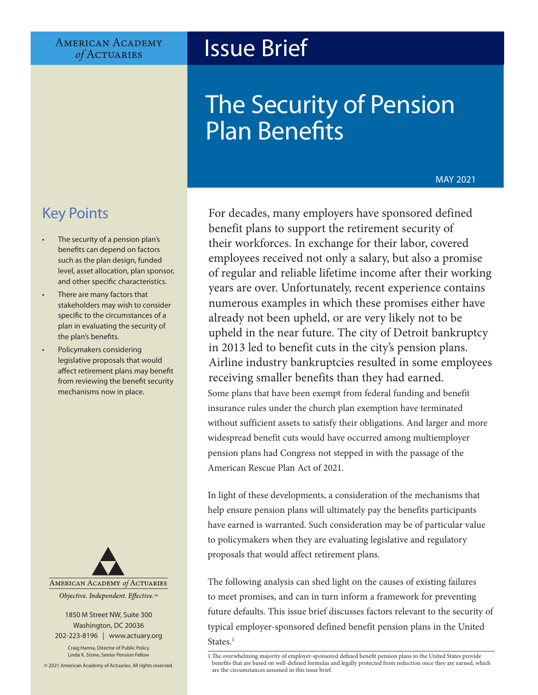#### **AMERICAN ACADEMY** of ACTUARIES

## Issue Brief

# The Security of Pension Plan Benefits

#### MAY 2021

## Key Points

- The security of a pension plan's benefits can depend on factors such as the plan design, funded level, asset allocation, plan sponsor, and other specific characteristics.
- There are many factors that stakeholders may wish to consider specific to the circumstances of a plan in evaluating the security of the plan's benefits.
- Policymakers considering legislative proposals that would affect retirement plans may benefit from reviewing the benefit security mechanisms now in place.



1850 M Street NW, Suite 300 Washington, DC 20036 202-223-8196 | [www.actuary.org](http://actuary.org)

Craig Hanna, Director of Public Policy Linda K. Stone, Senior Pension Fellow

© 2021 American Academy of Actuaries. All rights reserved.

For decades, many employers have sponsored defined benefit plans to support the retirement security of their workforces. In exchange for their labor, covered employees received not only a salary, but also a promise of regular and reliable lifetime income after their working years are over. Unfortunately, recent experience contains numerous examples in which these promises either have already not been upheld, or are very likely not to be upheld in the near future. The city of Detroit bankruptcy in 2013 led to benefit cuts in the city's pension plans. Airline industry bankruptcies resulted in some employees receiving smaller benefits than they had earned. Some plans that have been exempt from federal funding and benefit insurance rules under the church plan exemption have terminated without sufficient assets to satisfy their obligations. And larger and more widespread benefit cuts would have occurred among multiemployer pension plans had Congress not stepped in with the passage of the American Rescue Plan Act of 2021.

In light of these developments, a consideration of the mechanisms that help ensure pension plans will ultimately pay the benefits participants have earned is warranted. Such consideration may be of particular value to policymakers when they are evaluating legislative and regulatory proposals that would affect retirement plans.

The following analysis can shed light on the causes of existing failures to meet promises, and can in turn inform a framework for preventing future defaults. This issue brief discusses factors relevant to the security of typical employer-sponsored defined benefit pension plans in the United States.<sup>1</sup>

<sup>1</sup> The overwhelming majority of employer-sponsored defined benefit pension plans in the United States provide benefits that are based on well-defined formulas and legally protected from reduction once they are earned, which are the circumstances assumed in this issue brief.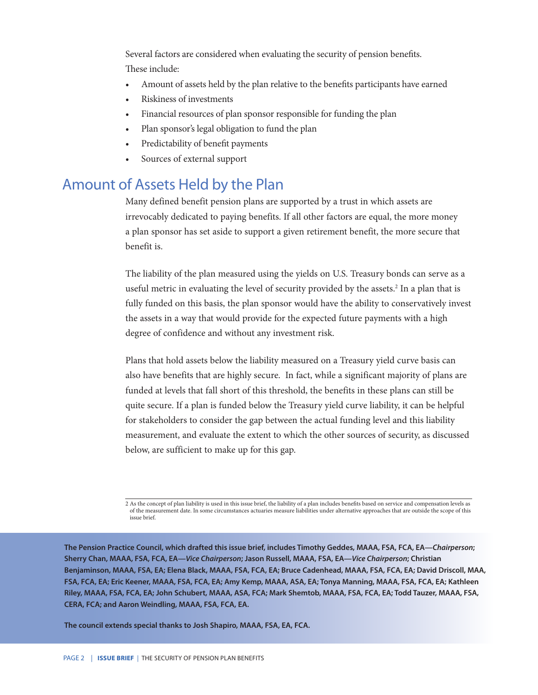Several factors are considered when evaluating the security of pension benefits. These include:

- Amount of assets held by the plan relative to the benefits participants have earned
- Riskiness of investments
- Financial resources of plan sponsor responsible for funding the plan
- Plan sponsor's legal obligation to fund the plan
- Predictability of benefit payments
- Sources of external support

### Amount of Assets Held by the Plan

Many defined benefit pension plans are supported by a trust in which assets are irrevocably dedicated to paying benefits. If all other factors are equal, the more money a plan sponsor has set aside to support a given retirement benefit, the more secure that benefit is.

The liability of the plan measured using the yields on U.S. Treasury bonds can serve as a useful metric in evaluating the level of security provided by the assets.<sup>2</sup> In a plan that is fully funded on this basis, the plan sponsor would have the ability to conservatively invest the assets in a way that would provide for the expected future payments with a high degree of confidence and without any investment risk.

Plans that hold assets below the liability measured on a Treasury yield curve basis can also have benefits that are highly secure. In fact, while a significant majority of plans are funded at levels that fall short of this threshold, the benefits in these plans can still be quite secure. If a plan is funded below the Treasury yield curve liability, it can be helpful for stakeholders to consider the gap between the actual funding level and this liability measurement, and evaluate the extent to which the other sources of security, as discussed below, are sufficient to make up for this gap.

2 As the concept of plan liability is used in this issue brief, the liability of a plan includes benefits based on service and compensation levels as of the measurement date. In some circumstances actuaries measure liabilities under alternative approaches that are outside the scope of this issue brief.

**The Pension Practice Council, which drafted this issue brief, includes Timothy Geddes, MAAA, FSA, FCA, EA—***Chairperson***; Sherry Chan, MAAA, FSA, FCA, EA—***Vice Chairperson***; Jason Russell, MAAA, FSA, EA—***Vice Chairperson***; Christian Benjaminson, MAAA, FSA, EA; Elena Black, MAAA, FSA, FCA, EA; Bruce Cadenhead, MAAA, FSA, FCA, EA; David Driscoll, MAA, FSA, FCA, EA; Eric Keener, MAAA, FSA, FCA, EA; Amy Kemp, MAAA, ASA, EA; Tonya Manning, MAAA, FSA, FCA, EA; Kathleen Riley, MAAA, FSA, FCA, EA; John Schubert, MAAA, ASA, FCA; Mark Shemtob, MAAA, FSA, FCA, EA; Todd Tauzer, MAAA, FSA, CERA, FCA; and Aaron Weindling, MAAA, FSA, FCA, EA.** 

**The council extends special thanks to Josh Shapiro, MAAA, FSA, EA, FCA.**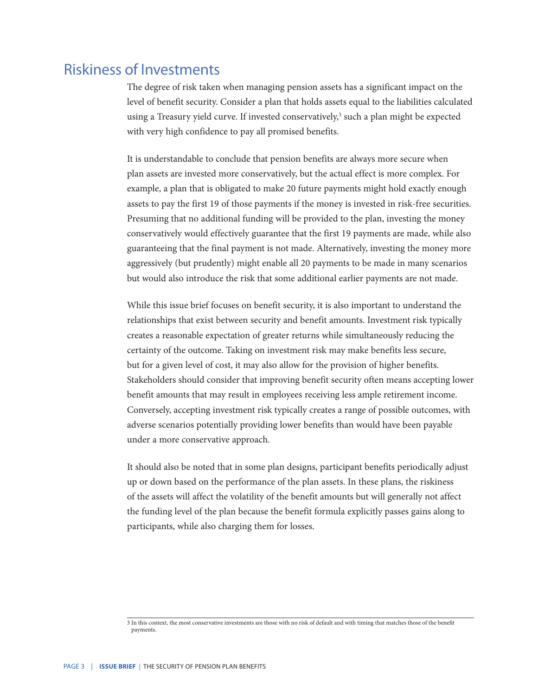### Riskiness of Investments

The degree of risk taken when managing pension assets has a significant impact on the level of benefit security. Consider a plan that holds assets equal to the liabilities calculated using a Treasury yield curve. If invested conservatively,<sup>3</sup> such a plan might be expected with very high confidence to pay all promised benefits.

It is understandable to conclude that pension benefits are always more secure when plan assets are invested more conservatively, but the actual effect is more complex. For example, a plan that is obligated to make 20 future payments might hold exactly enough assets to pay the first 19 of those payments if the money is invested in risk-free securities. Presuming that no additional funding will be provided to the plan, investing the money conservatively would effectively guarantee that the first 19 payments are made, while also guaranteeing that the final payment is not made. Alternatively, investing the money more aggressively (but prudently) might enable all 20 payments to be made in many scenarios but would also introduce the risk that some additional earlier payments are not made.

While this issue brief focuses on benefit security, it is also important to understand the relationships that exist between security and benefit amounts. Investment risk typically creates a reasonable expectation of greater returns while simultaneously reducing the certainty of the outcome. Taking on investment risk may make benefits less secure, but for a given level of cost, it may also allow for the provision of higher benefits. Stakeholders should consider that improving benefit security often means accepting lower benefit amounts that may result in employees receiving less ample retirement income. Conversely, accepting investment risk typically creates a range of possible outcomes, with adverse scenarios potentially providing lower benefits than would have been payable under a more conservative approach.

It should also be noted that in some plan designs, participant benefits periodically adjust up or down based on the performance of the plan assets. In these plans, the riskiness of the assets will affect the volatility of the benefit amounts but will generally not affect the funding level of the plan because the benefit formula explicitly passes gains along to participants, while also charging them for losses.

<sup>3</sup> In this context, the most conservative investments are those with no risk of default and with timing that matches those of the benefit payments.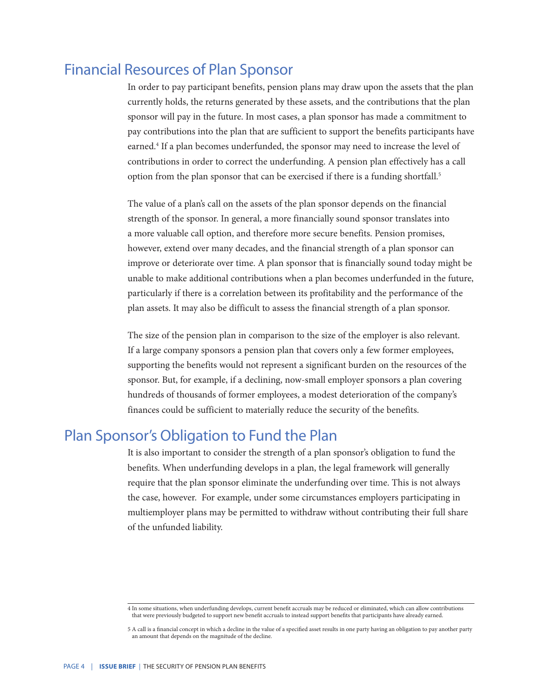### Financial Resources of Plan Sponsor

In order to pay participant benefits, pension plans may draw upon the assets that the plan currently holds, the returns generated by these assets, and the contributions that the plan sponsor will pay in the future. In most cases, a plan sponsor has made a commitment to pay contributions into the plan that are sufficient to support the benefits participants have earned.<sup>4</sup> If a plan becomes underfunded, the sponsor may need to increase the level of contributions in order to correct the underfunding. A pension plan effectively has a call option from the plan sponsor that can be exercised if there is a funding shortfall.<sup>5</sup>

The value of a plan's call on the assets of the plan sponsor depends on the financial strength of the sponsor. In general, a more financially sound sponsor translates into a more valuable call option, and therefore more secure benefits. Pension promises, however, extend over many decades, and the financial strength of a plan sponsor can improve or deteriorate over time. A plan sponsor that is financially sound today might be unable to make additional contributions when a plan becomes underfunded in the future, particularly if there is a correlation between its profitability and the performance of the plan assets. It may also be difficult to assess the financial strength of a plan sponsor.

The size of the pension plan in comparison to the size of the employer is also relevant. If a large company sponsors a pension plan that covers only a few former employees, supporting the benefits would not represent a significant burden on the resources of the sponsor. But, for example, if a declining, now-small employer sponsors a plan covering hundreds of thousands of former employees, a modest deterioration of the company's finances could be sufficient to materially reduce the security of the benefits.

#### Plan Sponsor's Obligation to Fund the Plan

It is also important to consider the strength of a plan sponsor's obligation to fund the benefits. When underfunding develops in a plan, the legal framework will generally require that the plan sponsor eliminate the underfunding over time. This is not always the case, however. For example, under some circumstances employers participating in multiemployer plans may be permitted to withdraw without contributing their full share of the unfunded liability.

<sup>4</sup> In some situations, when underfunding develops, current benefit accruals may be reduced or eliminated, which can allow contributions that were previously budgeted to support new benefit accruals to instead support benefits that participants have already earned.

<sup>5</sup> A call is a financial concept in which a decline in the value of a specified asset results in one party having an obligation to pay another party an amount that depends on the magnitude of the decline.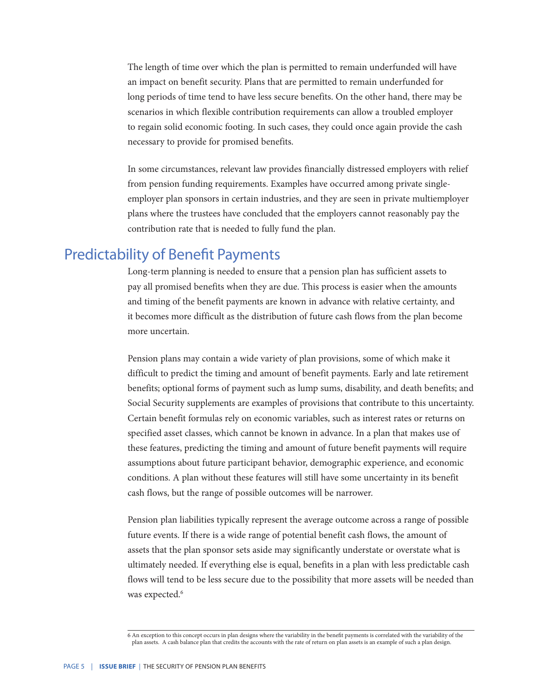The length of time over which the plan is permitted to remain underfunded will have an impact on benefit security. Plans that are permitted to remain underfunded for long periods of time tend to have less secure benefits. On the other hand, there may be scenarios in which flexible contribution requirements can allow a troubled employer to regain solid economic footing. In such cases, they could once again provide the cash necessary to provide for promised benefits.

In some circumstances, relevant law provides financially distressed employers with relief from pension funding requirements. Examples have occurred among private singleemployer plan sponsors in certain industries, and they are seen in private multiemployer plans where the trustees have concluded that the employers cannot reasonably pay the contribution rate that is needed to fully fund the plan.

#### Predictability of Benefit Payments

Long-term planning is needed to ensure that a pension plan has sufficient assets to pay all promised benefits when they are due. This process is easier when the amounts and timing of the benefit payments are known in advance with relative certainty, and it becomes more difficult as the distribution of future cash flows from the plan become more uncertain.

Pension plans may contain a wide variety of plan provisions, some of which make it difficult to predict the timing and amount of benefit payments. Early and late retirement benefits; optional forms of payment such as lump sums, disability, and death benefits; and Social Security supplements are examples of provisions that contribute to this uncertainty. Certain benefit formulas rely on economic variables, such as interest rates or returns on specified asset classes, which cannot be known in advance. In a plan that makes use of these features, predicting the timing and amount of future benefit payments will require assumptions about future participant behavior, demographic experience, and economic conditions. A plan without these features will still have some uncertainty in its benefit cash flows, but the range of possible outcomes will be narrower.

Pension plan liabilities typically represent the average outcome across a range of possible future events. If there is a wide range of potential benefit cash flows, the amount of assets that the plan sponsor sets aside may significantly understate or overstate what is ultimately needed. If everything else is equal, benefits in a plan with less predictable cash flows will tend to be less secure due to the possibility that more assets will be needed than was expected.<sup>6</sup>

<sup>6</sup> An exception to this concept occurs in plan designs where the variability in the benefit payments is correlated with the variability of the plan assets. A cash balance plan that credits the accounts with the rate of return on plan assets is an example of such a plan design.